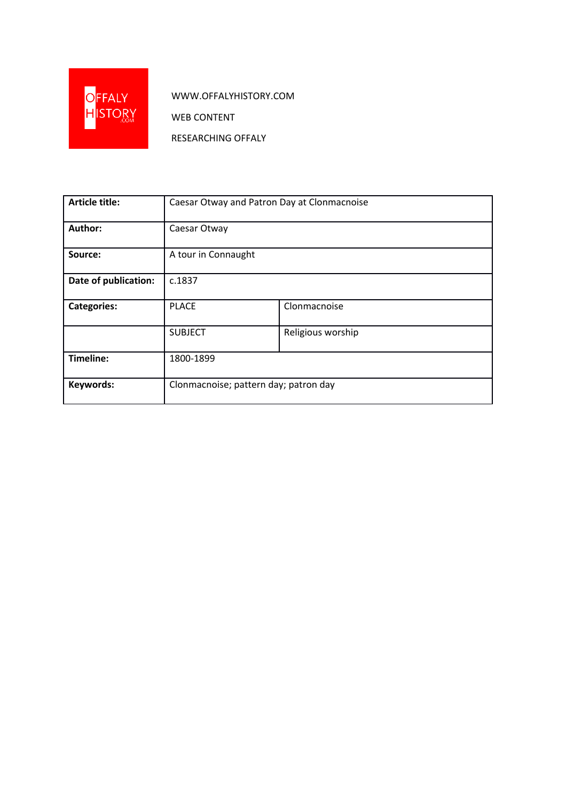

WWW.OFFALYHISTORY.COM

WEB CONTENT

RESEARCHING OFFALY

| <b>Article title:</b> | Caesar Otway and Patron Day at Clonmacnoise |                   |
|-----------------------|---------------------------------------------|-------------------|
| Author:               | Caesar Otway                                |                   |
| Source:               | A tour in Connaught                         |                   |
| Date of publication:  | c.1837                                      |                   |
| <b>Categories:</b>    | <b>PLACE</b>                                | Clonmacnoise      |
|                       | <b>SUBJECT</b>                              | Religious worship |
| Timeline:             | 1800-1899                                   |                   |
| Keywords:             | Clonmacnoise; pattern day; patron day       |                   |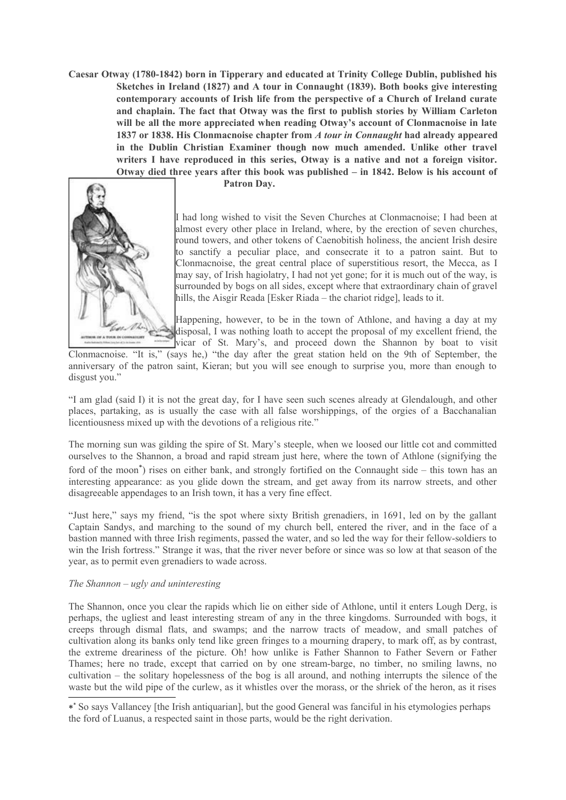**Caesar Otway (1780-1842) born in Tipperary and educated at Trinity College Dublin, published his Sketches in Ireland (1827) and A tour in Connaught (1839). Both books give interesting contemporary accounts of Irish life from the perspective of a Church of Ireland curate and chaplain. The fact that Otway was the first to publish stories by William Carleton will be all the more appreciated when reading Otway's account of Clonmacnoise in late 1837 or 1838. His Clonmacnoise chapter from** *A tour in Connaught* **had already appeared in the Dublin Christian Examiner though now much amended. Unlike other travel writers I have reproduced in this series, Otway is a native and not a foreign visitor. Otway died three years after this book was published – in 1842. Below is his account of**



**Patron Day.**

I had long wished to visit the Seven Churches at Clonmacnoise; I had been at almost every other place in Ireland, where, by the erection of seven churches, round towers, and other tokens of Caenobitish holiness, the ancient Irish desire to sanctify a peculiar place, and consecrate it to a patron saint. But to Clonmacnoise, the great central place of superstitious resort, the Mecca, as I may say, of Irish hagiolatry, I had not yet gone; for it is much out of the way, is surrounded by bogs on all sides, except where that extraordinary chain of gravel hills, the Aisgir Reada [Esker Riada – the chariot ridge], leads to it.

Happening, however, to be in the town of Athlone, and having a day at my disposal, I was nothing loath to accept the proposal of my excellent friend, the vicar of St. Mary's, and proceed down the Shannon by boat to visit

Clonmacnoise. "It is," (says he,) "the day after the great station held on the 9th of September, the anniversary of the patron saint, Kieran; but you will see enough to surprise you, more than enough to disgust you."

"I am glad (said I) it is not the great day, for I have seen such scenes already at Glendalough, and other places, partaking, as is usually the case with all false worshippings, of the orgies of a Bacchanalian licentiousness mixed up with the devotions of a religious rite."

The morning sun was gilding the spire of St. Mary's steeple, when we loosed our little cot and committed ourselves to the Shannon, a broad and rapid stream just here, where the town of Athlone (signifying the ford of the moon<sup>\*</sup>) rises on either bank, and strongly fortified on the Connaught side – this town has an interesting appearance: as you glide down the stream, and get away from its narrow streets, and other disagreeable appendages to an Irish town, it has a very fine effect.

"Just here," says my friend, "is the spot where sixty British grenadiers, in 1691, led on by the gallant Captain Sandys, and marching to the sound of my church bell, entered the river, and in the face of a bastion manned with three Irish regiments, passed the water, and so led the way for their fellow-soldiers to win the Irish fortress." Strange it was, that the river never before or since was so low at that season of the year, as to permit even grenadiers to wade across.

## *The Shannon – ugly and uninteresting*

The Shannon, once you clear the rapids which lie on either side of Athlone, until it enters Lough Derg, is perhaps, the ugliest and least interesting stream of any in the three kingdoms. Surrounded with bogs, it creeps through dismal flats, and swamps; and the narrow tracts of meadow, and small patches of cultivation along its banks only tend like green fringes to a mourning drapery, to mark off, as by contrast, the extreme dreariness of the picture. Oh! how unlike is Father Shannon to Father Severn or Father Thames; here no trade, except that carried on by one stream-barge, no timber, no smiling lawns, no cultivation – the solitary hopelessness of the bog is all around, and nothing interrupts the silence of the waste but the wild pipe of the curlew, as it whistles over the morass, or the shriek of the heron, as it rises

<span id="page-1-0"></span><sup>\*\*</sup> So says Vallancey [the Irish antiquarian], but the good General was fanciful in his etymologies perhaps the ford of Luanus, a respected saint in those parts, would be the right derivation.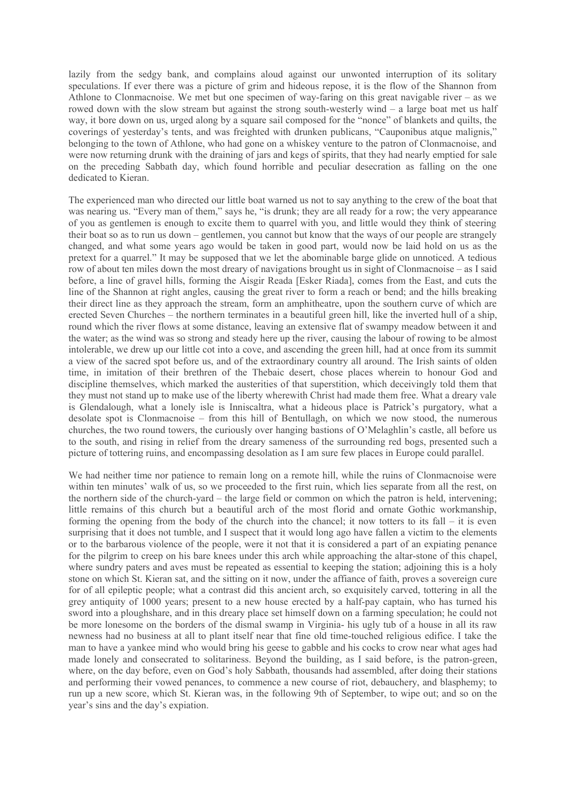lazily from the sedgy bank, and complains aloud against our unwonted interruption of its solitary speculations. If ever there was a picture of grim and hideous repose, it is the flow of the Shannon from Athlone to Clonmacnoise. We met but one specimen of way-faring on this great navigable river – as we rowed down with the slow stream but against the strong south-westerly wind – a large boat met us half way, it bore down on us, urged along by a square sail composed for the "nonce" of blankets and quilts, the coverings of yesterday's tents, and was freighted with drunken publicans, "Cauponibus atque malignis," belonging to the town of Athlone, who had gone on a whiskey venture to the patron of Clonmacnoise, and were now returning drunk with the draining of jars and kegs of spirits, that they had nearly emptied for sale on the preceding Sabbath day, which found horrible and peculiar desecration as falling on the one dedicated to Kieran.

The experienced man who directed our little boat warned us not to say anything to the crew of the boat that was nearing us. "Every man of them," says he, "is drunk; they are all ready for a row; the very appearance of you as gentlemen is enough to excite them to quarrel with you, and little would they think of steering their boat so as to run us down – gentlemen, you cannot but know that the ways of our people are strangely changed, and what some years ago would be taken in good part, would now be laid hold on us as the pretext for a quarrel." It may be supposed that we let the abominable barge glide on unnoticed. A tedious row of about ten miles down the most dreary of navigations brought us in sight of Clonmacnoise – as I said before, a line of gravel hills, forming the Aisgir Reada [Esker Riada], comes from the East, and cuts the line of the Shannon at right angles, causing the great river to form a reach or bend; and the hills breaking their direct line as they approach the stream, form an amphitheatre, upon the southern curve of which are erected Seven Churches – the northern terminates in a beautiful green hill, like the inverted hull of a ship, round which the river flows at some distance, leaving an extensive flat of swampy meadow between it and the water; as the wind was so strong and steady here up the river, causing the labour of rowing to be almost intolerable, we drew up our little cot into a cove, and ascending the green hill, had at once from its summit a view of the sacred spot before us, and of the extraordinary country all around. The Irish saints of olden time, in imitation of their brethren of the Thebaic desert, chose places wherein to honour God and discipline themselves, which marked the austerities of that superstition, which deceivingly told them that they must not stand up to make use of the liberty wherewith Christ had made them free. What a dreary vale is Glendalough, what a lonely isle is Inniscaltra, what a hideous place is Patrick's purgatory, what a desolate spot is Clonmacnoise – from this hill of Bentullagh, on which we now stood, the numerous churches, the two round towers, the curiously over hanging bastions of O'Melaghlin's castle, all before us to the south, and rising in relief from the dreary sameness of the surrounding red bogs, presented such a picture of tottering ruins, and encompassing desolation as I am sure few places in Europe could parallel.

We had neither time nor patience to remain long on a remote hill, while the ruins of Clonmacnoise were within ten minutes' walk of us, so we proceeded to the first ruin, which lies separate from all the rest, on the northern side of the church-yard – the large field or common on which the patron is held, intervening; little remains of this church but a beautiful arch of the most florid and ornate Gothic workmanship, forming the opening from the body of the church into the chancel; it now totters to its fall – it is even surprising that it does not tumble, and I suspect that it would long ago have fallen a victim to the elements or to the barbarous violence of the people, were it not that it is considered a part of an expiating penance for the pilgrim to creep on his bare knees under this arch while approaching the altar-stone of this chapel, where sundry paters and aves must be repeated as essential to keeping the station; adjoining this is a holy stone on which St. Kieran sat, and the sitting on it now, under the affiance of faith, proves a sovereign cure for of all epileptic people; what a contrast did this ancient arch, so exquisitely carved, tottering in all the grey antiquity of 1000 years; present to a new house erected by a half-pay captain, who has turned his sword into a ploughshare, and in this dreary place set himself down on a farming speculation; he could not be more lonesome on the borders of the dismal swamp in Virginia- his ugly tub of a house in all its raw newness had no business at all to plant itself near that fine old time-touched religious edifice. I take the man to have a yankee mind who would bring his geese to gabble and his cocks to crow near what ages had made lonely and consecrated to solitariness. Beyond the building, as I said before, is the patron-green, where, on the day before, even on God's holy Sabbath, thousands had assembled, after doing their stations and performing their vowed penances, to commence a new course of riot, debauchery, and blasphemy; to run up a new score, which St. Kieran was, in the following 9th of September, to wipe out; and so on the year's sins and the day's expiation.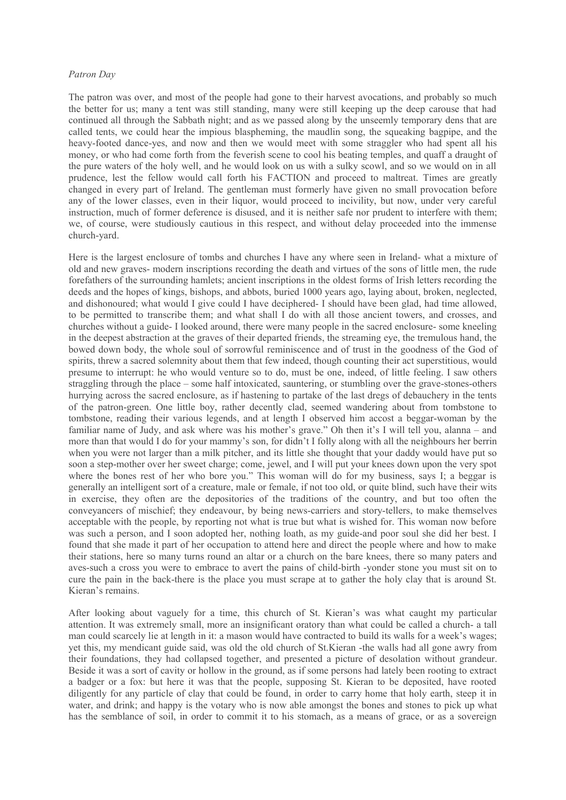## *Patron Day*

The patron was over, and most of the people had gone to their harvest avocations, and probably so much the better for us; many a tent was still standing, many were still keeping up the deep carouse that had continued all through the Sabbath night; and as we passed along by the unseemly temporary dens that are called tents, we could hear the impious blaspheming, the maudlin song, the squeaking bagpipe, and the heavy-footed dance-yes, and now and then we would meet with some straggler who had spent all his money, or who had come forth from the feverish scene to cool his beating temples, and quaff a draught of the pure waters of the holy well, and he would look on us with a sulky scowl, and so we would on in all prudence, lest the fellow would call forth his FACTION and proceed to maltreat. Times are greatly changed in every part of Ireland. The gentleman must formerly have given no small provocation before any of the lower classes, even in their liquor, would proceed to incivility, but now, under very careful instruction, much of former deference is disused, and it is neither safe nor prudent to interfere with them; we, of course, were studiously cautious in this respect, and without delay proceeded into the immense church-yard.

Here is the largest enclosure of tombs and churches I have any where seen in Ireland- what a mixture of old and new graves- modern inscriptions recording the death and virtues of the sons of little men, the rude forefathers of the surrounding hamlets; ancient inscriptions in the oldest forms of Irish letters recording the deeds and the hopes of kings, bishops, and abbots, buried 1000 years ago, laying about, broken, neglected, and dishonoured; what would I give could I have deciphered- I should have been glad, had time allowed, to be permitted to transcribe them; and what shall I do with all those ancient towers, and crosses, and churches without a guide- I looked around, there were many people in the sacred enclosure- some kneeling in the deepest abstraction at the graves of their departed friends, the streaming eye, the tremulous hand, the bowed down body, the whole soul of sorrowful reminiscence and of trust in the goodness of the God of spirits, threw a sacred solemnity about them that few indeed, though counting their act superstitious, would presume to interrupt: he who would venture so to do, must be one, indeed, of little feeling. I saw others straggling through the place – some half intoxicated, sauntering, or stumbling over the grave-stones-others hurrying across the sacred enclosure, as if hastening to partake of the last dregs of debauchery in the tents of the patron-green. One little boy, rather decently clad, seemed wandering about from tombstone to tombstone, reading their various legends, and at length I observed him accost a beggar-woman by the familiar name of Judy, and ask where was his mother's grave." Oh then it's I will tell you, alanna – and more than that would I do for your mammy's son, for didn't I folly along with all the neighbours her berrin when you were not larger than a milk pitcher, and its little she thought that your daddy would have put so soon a step-mother over her sweet charge; come, jewel, and I will put your knees down upon the very spot where the bones rest of her who bore you." This woman will do for my business, says I; a beggar is generally an intelligent sort of a creature, male or female, if not too old, or quite blind, such have their wits in exercise, they often are the depositories of the traditions of the country, and but too often the conveyancers of mischief; they endeavour, by being news-carriers and story-tellers, to make themselves acceptable with the people, by reporting not what is true but what is wished for. This woman now before was such a person, and I soon adopted her, nothing loath, as my guide-and poor soul she did her best. I found that she made it part of her occupation to attend here and direct the people where and how to make their stations, here so many turns round an altar or a church on the bare knees, there so many paters and aves-such a cross you were to embrace to avert the pains of child-birth -yonder stone you must sit on to cure the pain in the back-there is the place you must scrape at to gather the holy clay that is around St. Kieran's remains.

After looking about vaguely for a time, this church of St. Kieran's was what caught my particular attention. It was extremely small, more an insignificant oratory than what could be called a church- a tall man could scarcely lie at length in it: a mason would have contracted to build its walls for a week's wages; yet this, my mendicant guide said, was old the old church of St.Kieran -the walls had all gone awry from their foundations, they had collapsed together, and presented a picture of desolation without grandeur. Beside it was a sort of cavity or hollow in the ground, as if some persons had lately been rooting to extract a badger or a fox: but here it was that the people, supposing St. Kieran to be deposited, have rooted diligently for any particle of clay that could be found, in order to carry home that holy earth, steep it in water, and drink; and happy is the votary who is now able amongst the bones and stones to pick up what has the semblance of soil, in order to commit it to his stomach, as a means of grace, or as a sovereign